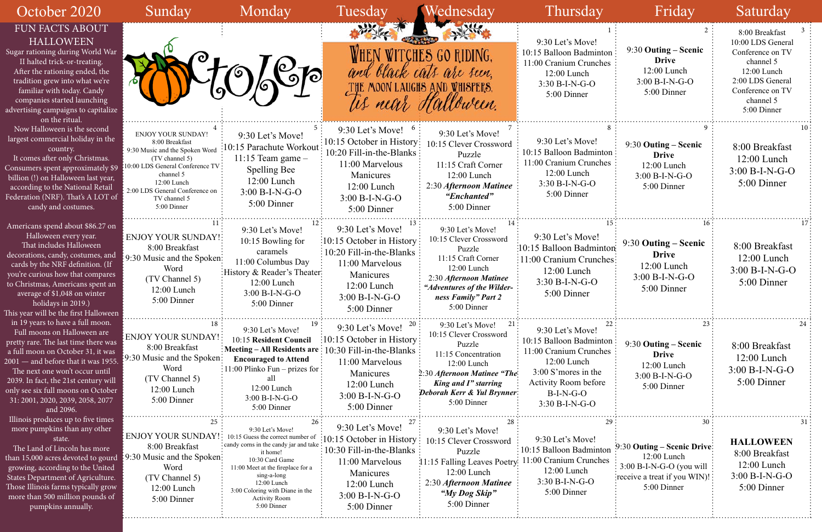| October 2020                                                                                                                                                                                                                                                                                                                                         | Sunday                                                                                                                                                                                                                             | Monday                                                                                                                                                                                                                                                                       | Tuesday                                                                                                                                                                       | Wednesday                                                                                                                                                                                             | Thursday                                                                                                                                                                      | Friday                                                                                                                    | Saturday                                                                                                                                                |
|------------------------------------------------------------------------------------------------------------------------------------------------------------------------------------------------------------------------------------------------------------------------------------------------------------------------------------------------------|------------------------------------------------------------------------------------------------------------------------------------------------------------------------------------------------------------------------------------|------------------------------------------------------------------------------------------------------------------------------------------------------------------------------------------------------------------------------------------------------------------------------|-------------------------------------------------------------------------------------------------------------------------------------------------------------------------------|-------------------------------------------------------------------------------------------------------------------------------------------------------------------------------------------------------|-------------------------------------------------------------------------------------------------------------------------------------------------------------------------------|---------------------------------------------------------------------------------------------------------------------------|---------------------------------------------------------------------------------------------------------------------------------------------------------|
| <b>FUN FACTS ABOUT</b><br><b>HALLOWEEN</b><br>Sugar rationing during World War<br>II halted trick-or-treating.<br>After the rationing ended, the<br>tradition grew into what we're<br>familiar with today. Candy<br>companies started launching<br>advertising campaigns to capitalize<br>on the ritual.                                             |                                                                                                                                                                                                                                    | 76                                                                                                                                                                                                                                                                           | THE<br>us near                                                                                                                                                                | WHEN WITCHES GO RIDING,<br>and black cals are seen.<br>MOON LAUGHS AND WHISPERS.<br>Halloween.                                                                                                        | 9:30 Let's Move!<br>10:15 Balloon Badminton<br>11:00 Cranium Crunches<br>12:00 Lunch<br>$3:30 B-I-N-G-O$<br>5:00 Dinner                                                       | 9:30 Outing – Scenic<br><b>Drive</b><br>12:00 Lunch<br>3:00 B-I-N-G-O<br>5:00 Dinner                                      | 8:00 Breakfast<br>10:00 LDS General<br>Conference on TV<br>channel 5<br>12:00 Lunch<br>2:00 LDS General<br>Conference on TV<br>channel 5<br>5:00 Dinner |
| Now Halloween is the second<br>largest commercial holiday in the<br>country.<br>It comes after only Christmas.<br>Consumers spent approximately \$9<br>billion (!) on Halloween last year,<br>according to the National Retail<br>Federation (NRF). That's A LOT of<br>candy and costumes.                                                           | <b>ENJOY YOUR SUNDAY!</b><br>8:00 Breakfast<br>9:30 Music and the Spoken Word<br>(TV channel 5)<br>$10:00$ LDS General Conference TV:<br>channel 5<br>12:00 Lunch<br>2:00 LDS General Conference on<br>TV channel 5<br>5:00 Dinner | 9:30 Let's Move!<br>10:15 Parachute Workout<br>11:15 Team game $-$<br>Spelling Bee<br>$12:00$ Lunch<br>$3:00 B-I-N-G-O$<br>5:00 Dinner                                                                                                                                       | 9:30 Let's Move! $6$<br>$\frac{10:15}{ }$ October in History:<br>10:20 Fill-in-the-Blanks :<br>11:00 Marvelous<br>Manicures<br>12:00 Lunch<br>$3:00 B-I-N-G-O$<br>5:00 Dinner | 9:30 Let's Move!<br>10:15 Clever Crossword<br>Puzzle<br>11:15 Craft Corner<br>$12:00$ Lunch<br>2:30 Afternoon Matinee<br>"Enchanted"<br>5:00 Dinner                                                   | 9:30 Let's Move!<br>10:15 Balloon Badminton<br>11:00 Cranium Crunches<br>12:00 Lunch<br>$3:30 B-I-N-G-O$<br>5:00 Dinner                                                       | 9:30 Outing – Scenic<br><b>Drive</b><br>12:00 Lunch<br>$3:00 B-I-N-G-O$<br>5:00 Dinner                                    | 8:00 Breakfast<br>$12:00$ Lunch<br>$3:00 B-I-N-G-O$<br>5:00 Dinner                                                                                      |
| Americans spend about \$86.27 on<br>Halloween every year.<br>That includes Halloween<br>decorations, candy, costumes, and<br>cards by the NRF definition. (If<br>you're curious how that compares<br>to Christmas, Americans spent an<br>average of \$1,048 on winter<br>holidays in 2019.)<br>This year will be the first Halloween                 | <b>ENJOY YOUR SUNDAY!:</b><br>8:00 Breakfast<br>9:30 Music and the Spoken:<br>Word<br>(TV Channel 5)<br>12:00 Lunch<br>5:00 Dinner                                                                                                 | 9:30 Let's Move!<br>10:15 Bowling for<br>caramels<br>11:00 Columbus Day<br>: History & Reader's Theater:<br>$12:00$ Lunch<br>$3:00 B-I-N-G-O$<br>5:00 Dinner                                                                                                                 | 9:30 Let's Move!<br>$\frac{10:15}{ }$ October in History:<br>10:20 Fill-in-the-Blanks :<br>11:00 Marvelous<br>Manicures<br>12:00 Lunch<br>$3:00 B-I-N-G-O$<br>5:00 Dinner     | 9:30 Let's Move!<br>10:15 Clever Crossword<br>Puzzle<br>11:15 Craft Corner<br>12:00 Lunch<br>2:30 Afternoon Matinee<br>"Adventures of the Wilder-<br>ness Family" Part 2<br>5:00 Dinner               | 9:30 Let's Move!<br>:10:15 Balloon Badminton<br>:11:00 Cranium Crunches:<br>12:00 Lunch<br>$3:30 B-I-N-G-O$<br>5:00 Dinner                                                    | 9:30 Outing – Scenic<br><b>Drive</b><br>12:00 Lunch<br>$3:00 B-I-N-G-O$<br>5:00 Dinner                                    | 8:00 Breakfast<br>12:00 Lunch<br>$3:00 B-I-N-G-O$<br>5:00 Dinner                                                                                        |
| in 19 years to have a full moon.<br>Full moons on Halloween are<br>pretty rare. The last time there was<br>a full moon on October 31, it was<br>2001 - and before that it was 1955.<br>The next one won't occur until<br>2039. In fact, the 21st century will<br>only see six full moons on October<br>31: 2001, 2020, 2039, 2058, 2077<br>and 2096. | 18.<br>ENJOY YOUR SUNDAY!<br>8:00 Breakfast<br>9:30 Music and the Spoken:<br>Word<br>(TV Channel 5)<br>$12:00$ Lunch<br>5:00 Dinner                                                                                                | 9:30 Let's Move!<br>10:15 Resident Council<br>Meeting - All Residents are : 10:30 Fill-in-the-Blanks<br><b>Encouraged to Attend</b><br>$: 11:00$ Plinko Fun - prizes for :<br>all<br>12:00 Lunch<br>3:00 B-I-N-G-O<br>5:00 Dinner                                            | 9:30 Let's Move!<br>$\pm 10:15$ October in History:<br>11:00 Marvelous<br>Manicures<br>12:00 Lunch<br>$3:00 B-I-N-G-O$<br>5:00 Dinner                                         | 9:30 Let's Move!<br>21<br>10:15 Clever Crossword<br>Puzzle<br>11:15 Concentration<br>12:00 Lunch<br>2:30 Afternoon Matinee "The<br>King and I" starring<br>Deborah Kerr & Yul Brynner:<br>5:00 Dinner | 9:30 Let's Move!<br>10:15 Balloon Badminton<br>11:00 Cranium Crunches<br>12:00 Lunch<br>3:00 S'mores in the<br><b>Activity Room before</b><br>$B-I-N-G-O$<br>$3:30 B-I-N-G-O$ | 9:30 Outing – Scenic<br><b>Drive</b><br>12:00 Lunch<br>$3:00 B-I-N-G-O$<br>5:00 Dinner                                    | 8:00 Breakfast<br>$12:00$ Lunch<br>3:00 B-I-N-G-O<br>5:00 Dinner                                                                                        |
| Illinois produces up to five times<br>more pumpkins than any other<br>state.<br>The Land of Lincoln has more<br>than 15,000 acres devoted to gourd<br>growing, according to the United<br>States Department of Agriculture.<br>Those Illinois farms typically grow<br>more than 500 million pounds of<br>pumpkins annually.                          | ENJOY YOUR SUNDAY!<br>8:00 Breakfast<br>$\frac{1}{2}$ 9:30 Music and the Spoken:<br>Word<br>(TV Channel 5)<br>12:00 Lunch<br>5:00 Dinner                                                                                           | 9:30 Let's Move!<br>10:15 Guess the correct number of<br>: candy corns in the candy jar and take<br>it home!<br>10:30 Card Game<br>11:00 Meet at the fireplace for a<br>sing-a-long<br>12:00 Lunch<br>3:00 Coloring with Diane in the<br><b>Activity Room</b><br>5:00 Dinner | 9:30 Let's Move!<br>$\frac{10:15}{ }$ October in History<br>10:30 Fill-in-the-Blanks<br>11:00 Marvelous<br>Manicures<br>12:00 Lunch<br>$3:00 B-I-N-G-O$<br>5:00 Dinner        | 9:30 Let's Move!<br>10:15 Clever Crossword<br>Puzzle<br>11:15 Falling Leaves Poetry:<br>12:00 Lunch<br>2:30 Afternoon Matinee<br>"My Dog Skip"<br>5:00 Dinner                                         | 9:30 Let's Move!<br>: 10:15 Balloon Badminton<br>11:00 Cranium Crunches<br>12:00 Lunch<br>$3:30 B-I-N-G-O$<br>5:00 Dinner                                                     | 9:30 Outing – Scenic Drive:<br>12:00 Lunch<br>$3:00 B-I-N-G-O$ (you will<br>: receive a treat if you WIN)!<br>5:00 Dinner | <b>HALLOWEEN</b><br>8:00 Breakfast<br>12:00 Lunch<br>$3:00 B-I-N-G-O$<br>5:00 Dinner                                                                    |

| 1<br>on<br>es                         | 2<br>9:30 Outing – Scenic<br><b>Drive</b><br>$12:00$ Lunch<br>$3:00 B-I-N-G-O$<br>5:00 Dinner                                | 3<br>8:00 Breakfast<br>10:00 LDS General<br>Conference on TV<br>channel 5<br>12:00 Lunch<br>2:00 LDS General<br>Conference on TV<br>channel 5<br>5:00 Dinner |
|---------------------------------------|------------------------------------------------------------------------------------------------------------------------------|--------------------------------------------------------------------------------------------------------------------------------------------------------------|
| 8<br>on<br>es                         | 9<br>9:30 Outing – Scenic<br><b>Drive</b><br>12:00 Lunch<br>3:00 B-I-N-G-O<br>5:00 Dinner                                    | 10<br>8:00 Breakfast<br>$12:00$ Lunch<br>$3:00 B-I-N-G-O$<br>5:00 Dinner                                                                                     |
| 15<br>ton:<br>1es                     | 16<br>9:30 Outing – Scenic<br><b>Drive</b><br>12:00 Lunch<br>$3:00 B-I-N-G-O$<br>5:00 Dinner                                 | 17<br>8:00 Breakfast<br>12:00 Lunch<br>$3:00 B-I-N-G-O$<br>5:00 Dinner                                                                                       |
| on<br>es                              | 23<br>9:30 Outing - Scenic<br><b>Drive</b><br>12:00 Lunch<br>3:00 B-I-N-G-O<br>5:00 Dinner                                   | 24<br>8:00 Breakfast<br>$12:00$ Lunch<br>$3:00 B-I-N-G-O$<br>5:00 Dinner                                                                                     |
| 29<br>on<br>$\mathbb{S}^{\mathbb{C}}$ | 30<br>9:30 Outing – Scenic Drive<br>12:00 Lunch<br>$3:00$ B-I-N-G-O (you will<br>receive a treat if you WIN)!<br>5:00 Dinner | 31<br><b>HALLOWEEN</b><br>8:00 Breakfast<br>12:00 Lunch<br>$3:00 B-I-N-G-O$<br>5:00 Dinner                                                                   |